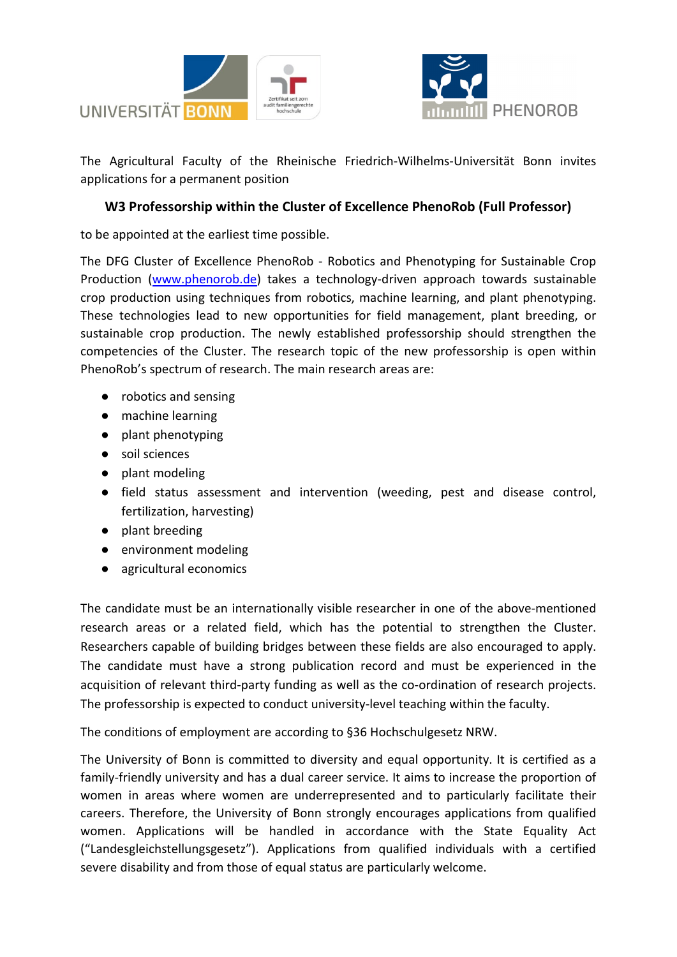



The Agricultural Faculty of the Rheinische Friedrich-Wilhelms-Universität Bonn invites applications for a permanent position

## **W3 Professorship within the Cluster of Excellence PhenoRob (Full Professor)**

to be appointed at the earliest time possible.

The DFG Cluster of Excellence PhenoRob - Robotics and Phenotyping for Sustainable Crop Production [\(www.phenorob.de\)](http://www.phenorob.de/) takes a technology-driven approach towards sustainable crop production using techniques from robotics, machine learning, and plant phenotyping. These technologies lead to new opportunities for field management, plant breeding, or sustainable crop production. The newly established professorship should strengthen the competencies of the Cluster. The research topic of the new professorship is open within PhenoRob's spectrum of research. The main research areas are:

- robotics and sensing
- machine learning
- plant phenotyping
- soil sciences
- plant modeling
- field status assessment and intervention (weeding, pest and disease control, fertilization, harvesting)
- plant breeding
- environment modeling
- agricultural economics

The candidate must be an internationally visible researcher in one of the above-mentioned research areas or a related field, which has the potential to strengthen the Cluster. Researchers capable of building bridges between these fields are also encouraged to apply. The candidate must have a strong publication record and must be experienced in the acquisition of relevant third-party funding as well as the co-ordination of research projects. The professorship is expected to conduct university-level teaching within the faculty.

The conditions of employment are according to §36 Hochschulgesetz NRW.

The University of Bonn is committed to diversity and equal opportunity. It is certified as a family-friendly university and has a dual career service. It aims to increase the proportion of women in areas where women are underrepresented and to particularly facilitate their careers. Therefore, the University of Bonn strongly encourages applications from qualified women. Applications will be handled in accordance with the State Equality Act ("Landesgleichstellungsgesetz"). Applications from qualified individuals with a certified severe disability and from those of equal status are particularly welcome.